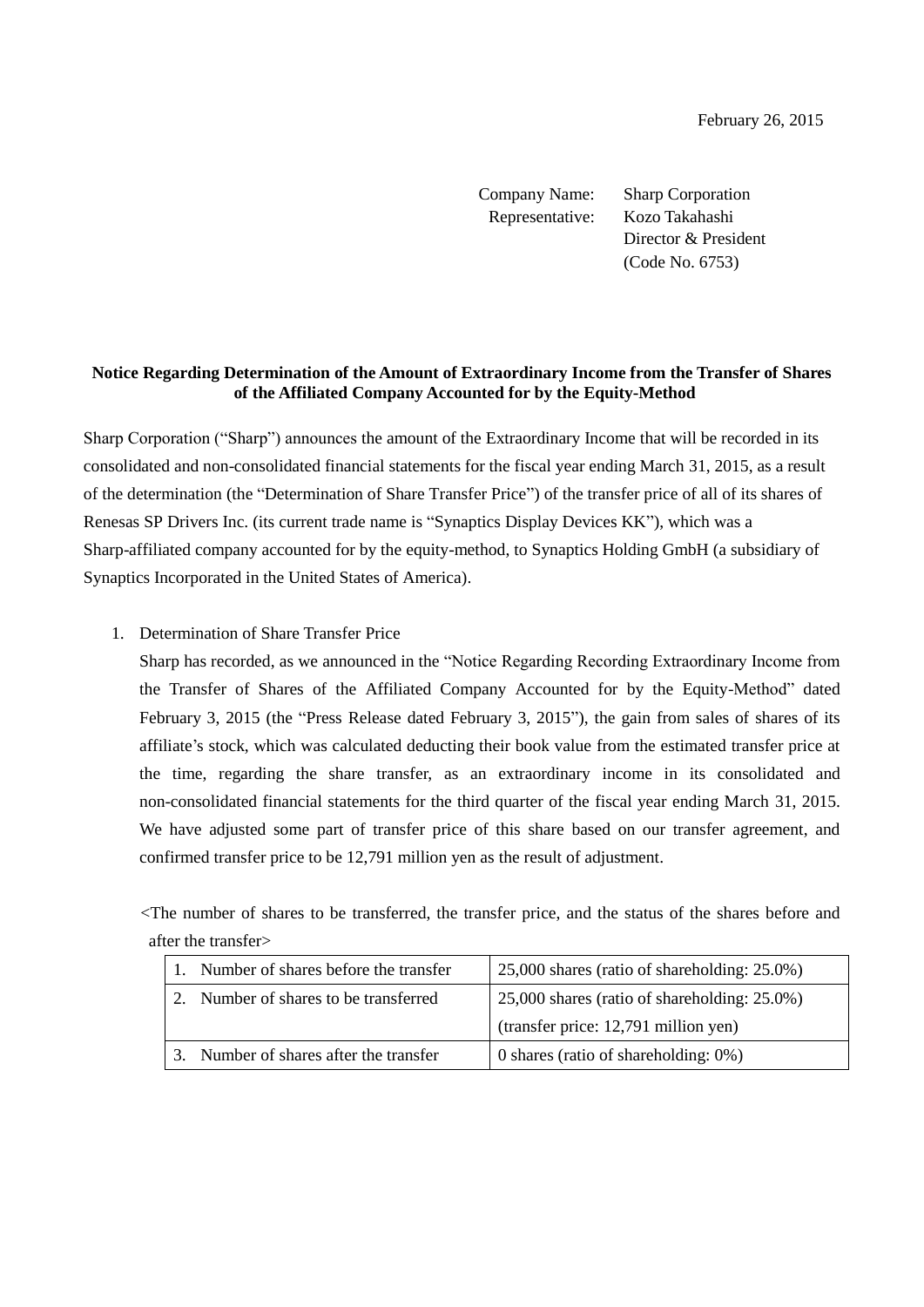Company Name: Sharp Corporation Representative: Kozo Takahashi Director & President (Code No. 6753)

## **Notice Regarding Determination of the Amount of Extraordinary Income from the Transfer of Shares of the Affiliated Company Accounted for by the Equity-Method**

Sharp Corporation ("Sharp") announces the amount of the Extraordinary Income that will be recorded in its consolidated and non-consolidated financial statements for the fiscal year ending March 31, 2015, as a result of the determination (the "Determination of Share Transfer Price") of the transfer price of all of its shares of Renesas SP Drivers Inc. (its current trade name is "Synaptics Display Devices KK"), which was a Sharp-affiliated company accounted for by the equity-method, to Synaptics Holding GmbH (a subsidiary of Synaptics Incorporated in the United States of America).

1. Determination of Share Transfer Price

Sharp has recorded, as we announced in the "Notice Regarding Recording Extraordinary Income from the Transfer of Shares of the Affiliated Company Accounted for by the Equity-Method" dated February 3, 2015 (the "Press Release dated February 3, 2015"), the gain from sales of shares of its affiliate's stock, which was calculated deducting their book value from the estimated transfer price at the time, regarding the share transfer, as an extraordinary income in its consolidated and non-consolidated financial statements for the third quarter of the fiscal year ending March 31, 2015. We have adjusted some part of transfer price of this share based on our transfer agreement, and confirmed transfer price to be 12,791 million yen as the result of adjustment.

<The number of shares to be transferred, the transfer price, and the status of the shares before and after the transfer>

| 1. Number of shares before the transfer | 25,000 shares (ratio of shareholding: 25.0%)       |
|-----------------------------------------|----------------------------------------------------|
| 2. Number of shares to be transferred   | $25,000$ shares (ratio of shareholding: $25.0\%$ ) |
|                                         | (transfer price: 12,791 million yen)               |
| Number of shares after the transfer     | 0 shares (ratio of shareholding: $0\%$ )           |